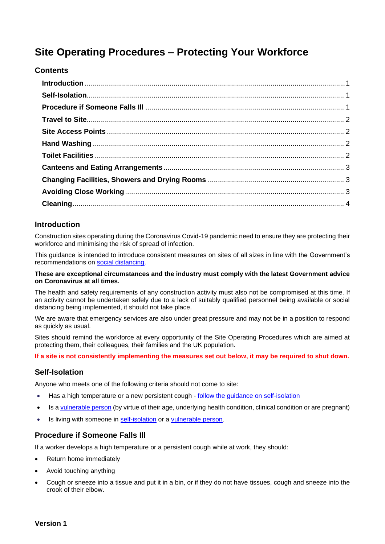# **Site Operating Procedures – Protecting Your Workforce**

# **Contents**

# <span id="page-0-0"></span>**Introduction**

Construction sites operating during the Coronavirus Covid-19 pandemic need to ensure they are protecting their workforce and minimising the risk of spread of infection.

This guidance is intended to introduce consistent measures on sites of all sizes in line with the Government's recommendations on [social distancing.](https://www.gov.uk/government/publications/covid-19-guidance-on-social-distancing-and-for-vulnerable-people/guidance-on-social-distancing-for-everyone-in-the-uk-and-protecting-older-people-and-vulnerable-adults)

#### **These are exceptional circumstances and the industry must comply with the latest Government advice on Coronavirus at all times.**

The health and safety requirements of any construction activity must also not be compromised at this time. If an activity cannot be undertaken safely due to a lack of suitably qualified personnel being available or social distancing being implemented, it should not take place.

We are aware that emergency services are also under great pressure and may not be in a position to respond as quickly as usual.

Sites should remind the workforce at every opportunity of the Site Operating Procedures which are aimed at protecting them, their colleagues, their families and the UK population.

**If a site is not consistently implementing the measures set out below, it may be required to shut down.**

#### <span id="page-0-1"></span>**Self-Isolation**

Anyone who meets one of the following criteria should not come to site:

- Has a high temperature or a new persistent cough follow the guidance on self-isolation
- Is a [vulnerable person](https://www.gov.uk/government/publications/covid-19-guidance-on-social-distancing-and-for-vulnerable-people/guidance-on-social-distancing-for-everyone-in-the-uk-and-protecting-older-people-and-vulnerable-adults) (by virtue of their age, underlying health condition, clinical condition or are pregnant)
- <span id="page-0-2"></span>• Is living with someone in [self-isolation](https://www.gov.uk/government/publications/covid-19-stay-at-home-guidance/stay-at-home-guidance-for-households-with-possible-coronavirus-covid-19-infection) or a [vulnerable person.](https://www.gov.uk/government/publications/covid-19-guidance-on-social-distancing-and-for-vulnerable-people/guidance-on-social-distancing-for-everyone-in-the-uk-and-protecting-older-people-and-vulnerable-adults)

# **Procedure if Someone Falls Ill**

If a worker develops a high temperature or a persistent cough while at work, they should:

- Return home immediately
- Avoid touching anything
- Cough or sneeze into a tissue and put it in a bin, or if they do not have tissues, cough and sneeze into the crook of their elbow.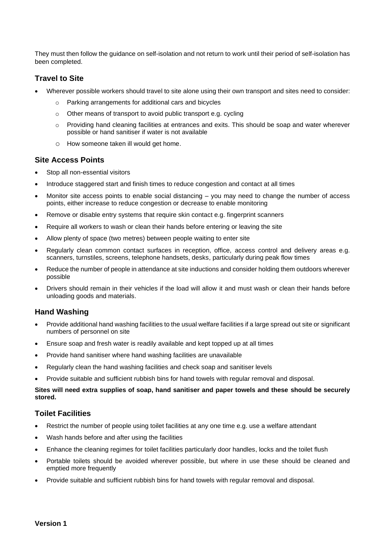They must then follow the guidance on self-isolation and not return to work until their period of self-isolation has been completed.

# <span id="page-1-0"></span>**Travel to Site**

- Wherever possible workers should travel to site alone using their own transport and sites need to consider:
	- o Parking arrangements for additional cars and bicycles
	- o Other means of transport to avoid public transport e.g. cycling
	- $\circ$  Providing hand cleaning facilities at entrances and exits. This should be soap and water wherever possible or hand sanitiser if water is not available
	- o How someone taken ill would get home.

#### <span id="page-1-1"></span>**Site Access Points**

- Stop all non-essential visitors
- Introduce staggered start and finish times to reduce congestion and contact at all times
- Monitor site access points to enable social distancing you may need to change the number of access points, either increase to reduce congestion or decrease to enable monitoring
- Remove or disable entry systems that require skin contact e.g. fingerprint scanners
- Require all workers to wash or clean their hands before entering or leaving the site
- Allow plenty of space (two metres) between people waiting to enter site
- Regularly clean common contact surfaces in reception, office, access control and delivery areas e.g. scanners, turnstiles, screens, telephone handsets, desks, particularly during peak flow times
- Reduce the number of people in attendance at site inductions and consider holding them outdoors wherever possible
- Drivers should remain in their vehicles if the load will allow it and must wash or clean their hands before unloading goods and materials.

# <span id="page-1-2"></span>**Hand Washing**

- Provide additional hand washing facilities to the usual welfare facilities if a large spread out site or significant numbers of personnel on site
- Ensure soap and fresh water is readily available and kept topped up at all times
- Provide hand sanitiser where hand washing facilities are unavailable
- Regularly clean the hand washing facilities and check soap and sanitiser levels
- Provide suitable and sufficient rubbish bins for hand towels with regular removal and disposal.

#### **Sites will need extra supplies of soap, hand sanitiser and paper towels and these should be securely stored.**

# <span id="page-1-3"></span>**Toilet Facilities**

- Restrict the number of people using toilet facilities at any one time e.g. use a welfare attendant
- Wash hands before and after using the facilities
- Enhance the cleaning regimes for toilet facilities particularly door handles, locks and the toilet flush
- Portable toilets should be avoided wherever possible, but where in use these should be cleaned and emptied more frequently
- <span id="page-1-4"></span>• Provide suitable and sufficient rubbish bins for hand towels with regular removal and disposal.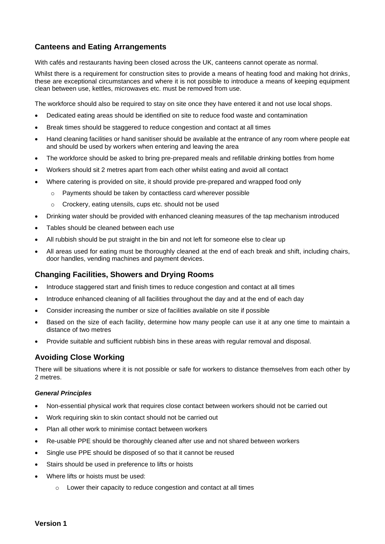# **Canteens and Eating Arrangements**

With cafés and restaurants having been closed across the UK, canteens cannot operate as normal.

Whilst there is a requirement for construction sites to provide a means of heating food and making hot drinks, these are exceptional circumstances and where it is not possible to introduce a means of keeping equipment clean between use, kettles, microwaves etc. must be removed from use.

The workforce should also be required to stay on site once they have entered it and not use local shops.

- Dedicated eating areas should be identified on site to reduce food waste and contamination
- Break times should be staggered to reduce congestion and contact at all times
- Hand cleaning facilities or hand sanitiser should be available at the entrance of any room where people eat and should be used by workers when entering and leaving the area
- The workforce should be asked to bring pre-prepared meals and refillable drinking bottles from home
- Workers should sit 2 metres apart from each other whilst eating and avoid all contact
- Where catering is provided on site, it should provide pre-prepared and wrapped food only
	- o Payments should be taken by contactless card wherever possible
	- o Crockery, eating utensils, cups etc. should not be used
- Drinking water should be provided with enhanced cleaning measures of the tap mechanism introduced
- Tables should be cleaned between each use
- All rubbish should be put straight in the bin and not left for someone else to clear up
- All areas used for eating must be thoroughly cleaned at the end of each break and shift, including chairs, door handles, vending machines and payment devices.

# <span id="page-2-0"></span>**Changing Facilities, Showers and Drying Rooms**

- Introduce staggered start and finish times to reduce congestion and contact at all times
- Introduce enhanced cleaning of all facilities throughout the day and at the end of each day
- Consider increasing the number or size of facilities available on site if possible
- Based on the size of each facility, determine how many people can use it at any one time to maintain a distance of two metres
- Provide suitable and sufficient rubbish bins in these areas with regular removal and disposal.

# <span id="page-2-1"></span>**Avoiding Close Working**

There will be situations where it is not possible or safe for workers to distance themselves from each other by 2 metres.

#### *General Principles*

- Non-essential physical work that requires close contact between workers should not be carried out
- Work requiring skin to skin contact should not be carried out
- Plan all other work to minimise contact between workers
- Re-usable PPE should be thoroughly cleaned after use and not shared between workers
- Single use PPE should be disposed of so that it cannot be reused
- Stairs should be used in preference to lifts or hoists
- Where lifts or hoists must be used:
	- o Lower their capacity to reduce congestion and contact at all times